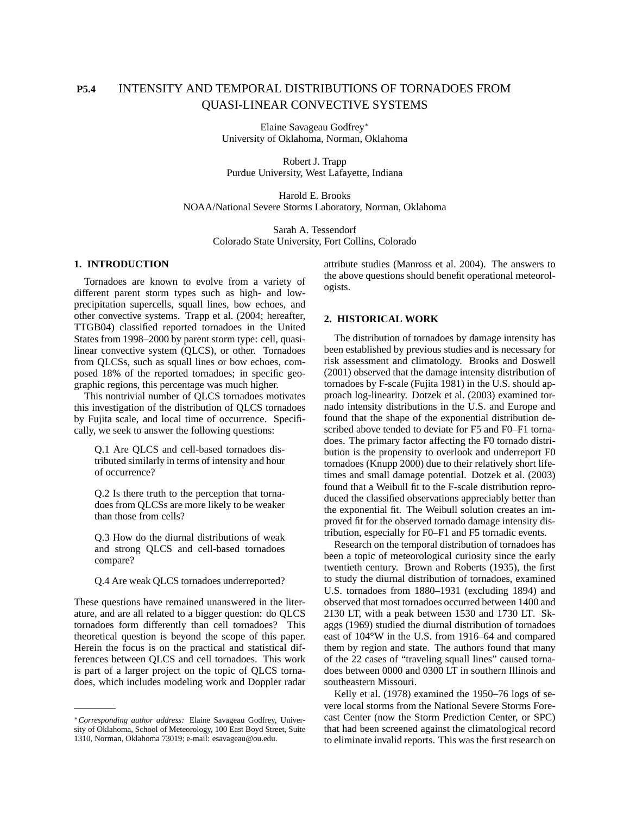# **P5.4** INTENSITY AND TEMPORAL DISTRIBUTIONS OF TORNADOES FROM QUASI-LINEAR CONVECTIVE SYSTEMS

Elaine Savageau Godfrey<sup>∗</sup> University of Oklahoma, Norman, Oklahoma

Robert J. Trapp Purdue University, West Lafayette, Indiana

Harold E. Brooks NOAA/National Severe Storms Laboratory, Norman, Oklahoma

> Sarah A. Tessendorf Colorado State University, Fort Collins, Colorado

# **1. INTRODUCTION**

Tornadoes are known to evolve from a variety of different parent storm types such as high- and lowprecipitation supercells, squall lines, bow echoes, and other convective systems. Trapp et al. (2004; hereafter, TTGB04) classified reported tornadoes in the United States from 1998–2000 by parent storm type: cell, quasilinear convective system (QLCS), or other. Tornadoes from QLCSs, such as squall lines or bow echoes, composed 18% of the reported tornadoes; in specific geographic regions, this percentage was much higher.

This nontrivial number of QLCS tornadoes motivates this investigation of the distribution of QLCS tornadoes by Fujita scale, and local time of occurrence. Specifically, we seek to answer the following questions:

Q.1 Are QLCS and cell-based tornadoes distributed similarly in terms of intensity and hour of occurrence?

Q.2 Is there truth to the perception that tornadoes from QLCSs are more likely to be weaker than those from cells?

Q.3 How do the diurnal distributions of weak and strong QLCS and cell-based tornadoes compare?

Q.4 Are weak QLCS tornadoes underreported?

These questions have remained unanswered in the literature, and are all related to a bigger question: do QLCS tornadoes form differently than cell tornadoes? This theoretical question is beyond the scope of this paper. Herein the focus is on the practical and statistical differences between QLCS and cell tornadoes. This work is part of a larger project on the topic of QLCS tornadoes, which includes modeling work and Doppler radar attribute studies (Manross et al. 2004). The answers to the above questions should benefit operational meteorologists.

# **2. HISTORICAL WORK**

The distribution of tornadoes by damage intensity has been established by previous studies and is necessary for risk assessment and climatology. Brooks and Doswell (2001) observed that the damage intensity distribution of tornadoes by F-scale (Fujita 1981) in the U.S. should approach log-linearity. Dotzek et al. (2003) examined tornado intensity distributions in the U.S. and Europe and found that the shape of the exponential distribution described above tended to deviate for F5 and F0–F1 tornadoes. The primary factor affecting the F0 tornado distribution is the propensity to overlook and underreport F0 tornadoes (Knupp 2000) due to their relatively short lifetimes and small damage potential. Dotzek et al. (2003) found that a Weibull fit to the F-scale distribution reproduced the classified observations appreciably better than the exponential fit. The Weibull solution creates an improved fit for the observed tornado damage intensity distribution, especially for F0–F1 and F5 tornadic events.

Research on the temporal distribution of tornadoes has been a topic of meteorological curiosity since the early twentieth century. Brown and Roberts (1935), the first to study the diurnal distribution of tornadoes, examined U.S. tornadoes from 1880–1931 (excluding 1894) and observed that most tornadoes occurred between 1400 and 2130 LT, with a peak between 1530 and 1730 LT. Skaggs (1969) studied the diurnal distribution of tornadoes east of 104°W in the U.S. from 1916–64 and compared them by region and state. The authors found that many of the 22 cases of "traveling squall lines" caused tornadoes between 0000 and 0300 LT in southern Illinois and southeastern Missouri.

Kelly et al. (1978) examined the 1950–76 logs of severe local storms from the National Severe Storms Forecast Center (now the Storm Prediction Center, or SPC) that had been screened against the climatological record to eliminate invalid reports. This was the first research on

<sup>∗</sup>*Corresponding author address:* Elaine Savageau Godfrey, University of Oklahoma, School of Meteorology, 100 East Boyd Street, Suite 1310, Norman, Oklahoma 73019; e-mail: esavageau@ou.edu.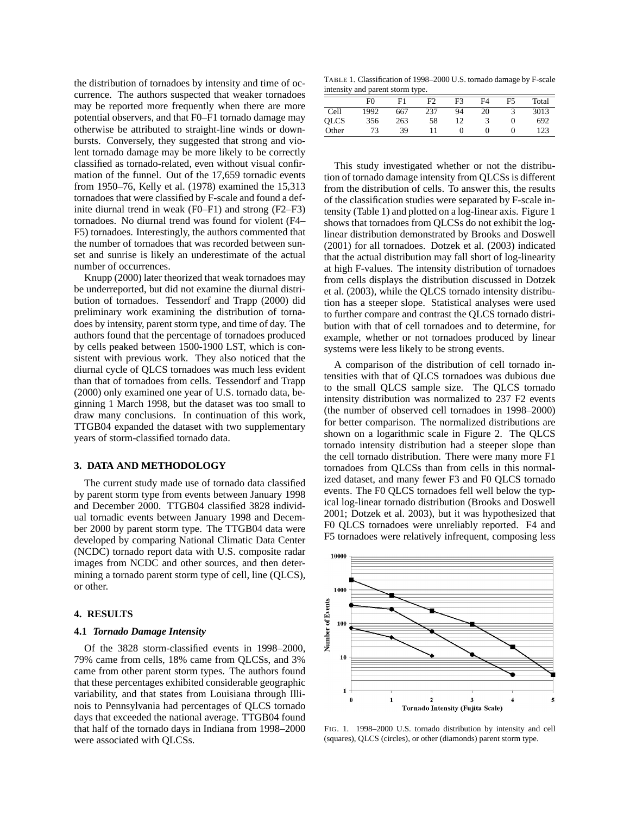the distribution of tornadoes by intensity and time of occurrence. The authors suspected that weaker tornadoes may be reported more frequently when there are more potential observers, and that F0–F1 tornado damage may otherwise be attributed to straight-line winds or downbursts. Conversely, they suggested that strong and violent tornado damage may be more likely to be correctly classified as tornado-related, even without visual confirmation of the funnel. Out of the 17,659 tornadic events from 1950–76, Kelly et al. (1978) examined the 15,313 tornadoes that were classified by F-scale and found a definite diurnal trend in weak (F0–F1) and strong (F2–F3) tornadoes. No diurnal trend was found for violent (F4– F5) tornadoes. Interestingly, the authors commented that the number of tornadoes that was recorded between sunset and sunrise is likely an underestimate of the actual number of occurrences.

Knupp (2000) later theorized that weak tornadoes may be underreported, but did not examine the diurnal distribution of tornadoes. Tessendorf and Trapp (2000) did preliminary work examining the distribution of tornadoes by intensity, parent storm type, and time of day. The authors found that the percentage of tornadoes produced by cells peaked between 1500-1900 LST, which is consistent with previous work. They also noticed that the diurnal cycle of QLCS tornadoes was much less evident than that of tornadoes from cells. Tessendorf and Trapp (2000) only examined one year of U.S. tornado data, beginning 1 March 1998, but the dataset was too small to draw many conclusions. In continuation of this work, TTGB04 expanded the dataset with two supplementary years of storm-classified tornado data.

## **3. DATA AND METHODOLOGY**

The current study made use of tornado data classified by parent storm type from events between January 1998 and December 2000. TTGB04 classified 3828 individual tornadic events between January 1998 and December 2000 by parent storm type. The TTGB04 data were developed by comparing National Climatic Data Center (NCDC) tornado report data with U.S. composite radar images from NCDC and other sources, and then determining a tornado parent storm type of cell, line (QLCS), or other.

# **4. RESULTS**

#### **4.1** *Tornado Damage Intensity*

Of the 3828 storm-classified events in 1998–2000, 79% came from cells, 18% came from QLCSs, and 3% came from other parent storm types. The authors found that these percentages exhibited considerable geographic variability, and that states from Louisiana through Illinois to Pennsylvania had percentages of QLCS tornado days that exceeded the national average. TTGB04 found that half of the tornado days in Indiana from 1998–2000 were associated with QLCSs.

TABLE 1. Classification of 1998–2000 U.S. tornado damage by F-scale intensity and parent storm type.

|             |      | . . |                |                |    |                |       |
|-------------|------|-----|----------------|----------------|----|----------------|-------|
|             | F()  | F1  | F <sub>2</sub> | F <sub>3</sub> | F4 | F <sub>5</sub> | Total |
| Cell        | 1992 | 667 | 237            | 94             | 20 |                | 3013  |
| <b>OLCS</b> | 356  | 263 | 58             | 12             |    |                | 692   |
| Other       | 73   | 39  |                |                |    |                | 123   |
|             |      |     |                |                |    |                |       |

This study investigated whether or not the distribution of tornado damage intensity from QLCSs is different from the distribution of cells. To answer this, the results of the classification studies were separated by F-scale intensity (Table 1) and plotted on a log-linear axis. Figure 1 shows that tornadoes from QLCSs do not exhibit the loglinear distribution demonstrated by Brooks and Doswell (2001) for all tornadoes. Dotzek et al. (2003) indicated that the actual distribution may fall short of log-linearity at high F-values. The intensity distribution of tornadoes from cells displays the distribution discussed in Dotzek et al. (2003), while the QLCS tornado intensity distribution has a steeper slope. Statistical analyses were used to further compare and contrast the QLCS tornado distribution with that of cell tornadoes and to determine, for example, whether or not tornadoes produced by linear systems were less likely to be strong events.

A comparison of the distribution of cell tornado intensities with that of QLCS tornadoes was dubious due to the small QLCS sample size. The QLCS tornado intensity distribution was normalized to 237 F2 events (the number of observed cell tornadoes in 1998–2000) for better comparison. The normalized distributions are shown on a logarithmic scale in Figure 2. The QLCS tornado intensity distribution had a steeper slope than the cell tornado distribution. There were many more F1 tornadoes from QLCSs than from cells in this normalized dataset, and many fewer F3 and F0 QLCS tornado events. The F0 QLCS tornadoes fell well below the typical log-linear tornado distribution (Brooks and Doswell 2001; Dotzek et al. 2003), but it was hypothesized that F0 QLCS tornadoes were unreliably reported. F4 and F5 tornadoes were relatively infrequent, composing less



FIG. 1. 1998–2000 U.S. tornado distribution by intensity and cell (squares), QLCS (circles), or other (diamonds) parent storm type.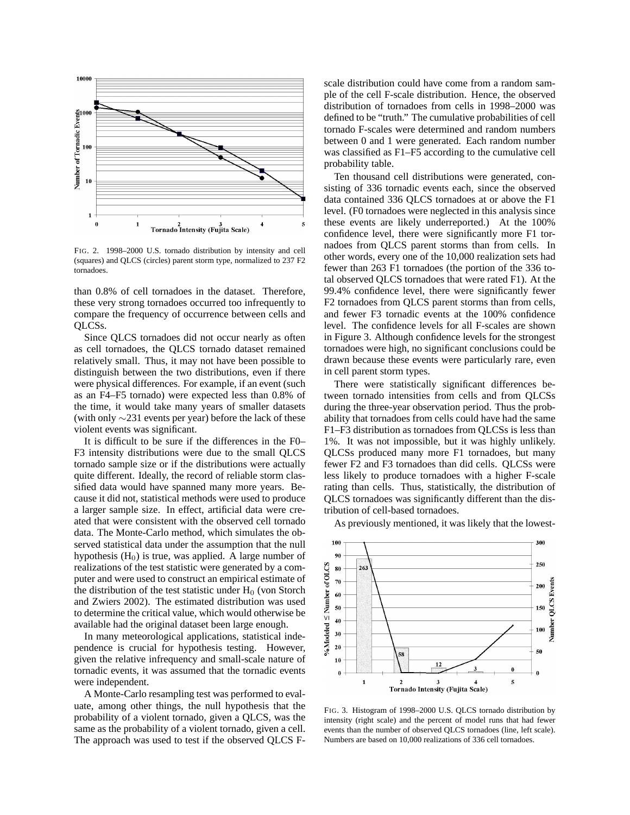

FIG. 2. 1998–2000 U.S. tornado distribution by intensity and cell (squares) and QLCS (circles) parent storm type, normalized to 237 F2 tornadoes.

than 0.8% of cell tornadoes in the dataset. Therefore, these very strong tornadoes occurred too infrequently to compare the frequency of occurrence between cells and QLCSs.

Since QLCS tornadoes did not occur nearly as often as cell tornadoes, the QLCS tornado dataset remained relatively small. Thus, it may not have been possible to distinguish between the two distributions, even if there were physical differences. For example, if an event (such as an F4–F5 tornado) were expected less than 0.8% of the time, it would take many years of smaller datasets (with only ∼231 events per year) before the lack of these violent events was significant.

It is difficult to be sure if the differences in the F0– F3 intensity distributions were due to the small QLCS tornado sample size or if the distributions were actually quite different. Ideally, the record of reliable storm classified data would have spanned many more years. Because it did not, statistical methods were used to produce a larger sample size. In effect, artificial data were created that were consistent with the observed cell tornado data. The Monte-Carlo method, which simulates the observed statistical data under the assumption that the null hypothesis  $(H<sub>0</sub>)$  is true, was applied. A large number of realizations of the test statistic were generated by a computer and were used to construct an empirical estimate of the distribution of the test statistic under  $H_0$  (von Storch and Zwiers 2002). The estimated distribution was used to determine the critical value, which would otherwise be available had the original dataset been large enough.

In many meteorological applications, statistical independence is crucial for hypothesis testing. However, given the relative infrequency and small-scale nature of tornadic events, it was assumed that the tornadic events were independent.

A Monte-Carlo resampling test was performed to evaluate, among other things, the null hypothesis that the probability of a violent tornado, given a QLCS, was the same as the probability of a violent tornado, given a cell. The approach was used to test if the observed QLCS F- scale distribution could have come from a random sample of the cell F-scale distribution. Hence, the observed distribution of tornadoes from cells in 1998–2000 was defined to be "truth." The cumulative probabilities of cell tornado F-scales were determined and random numbers between 0 and 1 were generated. Each random number was classified as F1–F5 according to the cumulative cell probability table.

Ten thousand cell distributions were generated, consisting of 336 tornadic events each, since the observed data contained 336 QLCS tornadoes at or above the F1 level. (F0 tornadoes were neglected in this analysis since these events are likely underreported.) At the 100% confidence level, there were significantly more F1 tornadoes from QLCS parent storms than from cells. In other words, every one of the 10,000 realization sets had fewer than 263 F1 tornadoes (the portion of the 336 total observed QLCS tornadoes that were rated F1). At the 99.4% confidence level, there were significantly fewer F2 tornadoes from QLCS parent storms than from cells, and fewer F3 tornadic events at the 100% confidence level. The confidence levels for all F-scales are shown in Figure 3. Although confidence levels for the strongest tornadoes were high, no significant conclusions could be drawn because these events were particularly rare, even in cell parent storm types.

There were statistically significant differences between tornado intensities from cells and from QLCSs during the three-year observation period. Thus the probability that tornadoes from cells could have had the same F1–F3 distribution as tornadoes from QLCSs is less than 1%. It was not impossible, but it was highly unlikely. QLCSs produced many more F1 tornadoes, but many fewer F2 and F3 tornadoes than did cells. QLCSs were less likely to produce tornadoes with a higher F-scale rating than cells. Thus, statistically, the distribution of QLCS tornadoes was significantly different than the distribution of cell-based tornadoes.

As previously mentioned, it was likely that the lowest-



FIG. 3. Histogram of 1998–2000 U.S. QLCS tornado distribution by intensity (right scale) and the percent of model runs that had fewer events than the number of observed QLCS tornadoes (line, left scale). Numbers are based on 10,000 realizations of 336 cell tornadoes.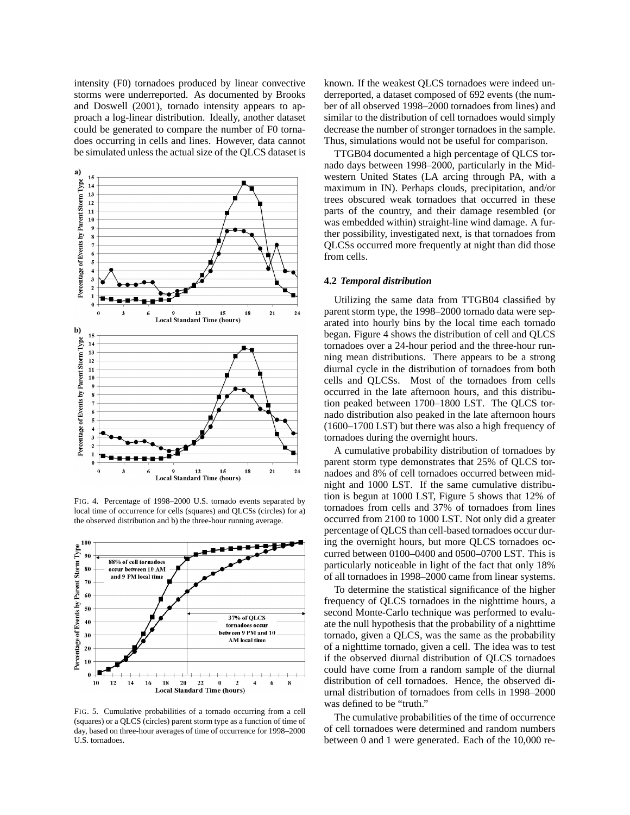intensity (F0) tornadoes produced by linear convective storms were underreported. As documented by Brooks and Doswell (2001), tornado intensity appears to approach a log-linear distribution. Ideally, another dataset could be generated to compare the number of F0 tornadoes occurring in cells and lines. However, data cannot be simulated unless the actual size of the QLCS dataset is



FIG. 4. Percentage of 1998–2000 U.S. tornado events separated by local time of occurrence for cells (squares) and QLCSs (circles) for a) the observed distribution and b) the three-hour running average.



FIG. 5. Cumulative probabilities of a tornado occurring from a cell (squares) or a QLCS (circles) parent storm type as a function of time of day, based on three-hour averages of time of occurrence for 1998–2000 U.S. tornadoes.

known. If the weakest QLCS tornadoes were indeed underreported, a dataset composed of 692 events (the number of all observed 1998–2000 tornadoes from lines) and similar to the distribution of cell tornadoes would simply decrease the number of stronger tornadoes in the sample. Thus, simulations would not be useful for comparison.

TTGB04 documented a high percentage of QLCS tornado days between 1998–2000, particularly in the Midwestern United States (LA arcing through PA, with a maximum in IN). Perhaps clouds, precipitation, and/or trees obscured weak tornadoes that occurred in these parts of the country, and their damage resembled (or was embedded within) straight-line wind damage. A further possibility, investigated next, is that tornadoes from QLCSs occurred more frequently at night than did those from cells.

## **4.2** *Temporal distribution*

Utilizing the same data from TTGB04 classified by parent storm type, the 1998–2000 tornado data were separated into hourly bins by the local time each tornado began. Figure 4 shows the distribution of cell and QLCS tornadoes over a 24-hour period and the three-hour running mean distributions. There appears to be a strong diurnal cycle in the distribution of tornadoes from both cells and QLCSs. Most of the tornadoes from cells occurred in the late afternoon hours, and this distribution peaked between 1700–1800 LST. The QLCS tornado distribution also peaked in the late afternoon hours (1600–1700 LST) but there was also a high frequency of tornadoes during the overnight hours.

A cumulative probability distribution of tornadoes by parent storm type demonstrates that 25% of QLCS tornadoes and 8% of cell tornadoes occurred between midnight and 1000 LST. If the same cumulative distribution is begun at 1000 LST, Figure 5 shows that 12% of tornadoes from cells and 37% of tornadoes from lines occurred from 2100 to 1000 LST. Not only did a greater percentage of QLCS than cell-based tornadoes occur during the overnight hours, but more QLCS tornadoes occurred between 0100–0400 and 0500–0700 LST. This is particularly noticeable in light of the fact that only 18% of all tornadoes in 1998–2000 came from linear systems.

To determine the statistical significance of the higher frequency of QLCS tornadoes in the nighttime hours, a second Monte-Carlo technique was performed to evaluate the null hypothesis that the probability of a nighttime tornado, given a QLCS, was the same as the probability of a nighttime tornado, given a cell. The idea was to test if the observed diurnal distribution of QLCS tornadoes could have come from a random sample of the diurnal distribution of cell tornadoes. Hence, the observed diurnal distribution of tornadoes from cells in 1998–2000 was defined to be "truth."

The cumulative probabilities of the time of occurrence of cell tornadoes were determined and random numbers between 0 and 1 were generated. Each of the 10,000 re-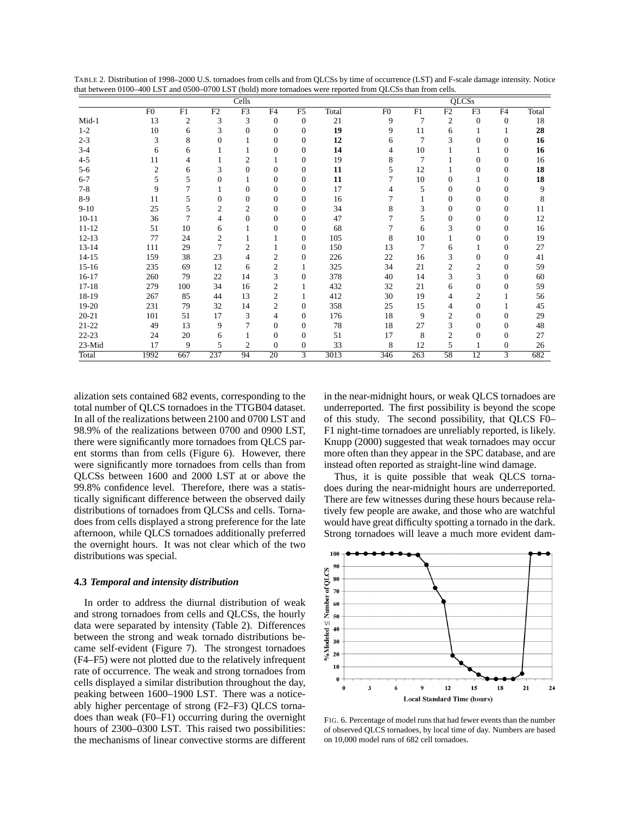| TABLE 2. Distribution of 1998–2000 U.S. tornadoes from cells and from QLCSs by time of occurrence (LST) and F-scale damage intensity. Notice |  |
|----------------------------------------------------------------------------------------------------------------------------------------------|--|
| that between 0100–400 LST and 0500–0700 LST (bold) more tornadoes were reported from QLCSs than from cells.                                  |  |

|           | Cells          |                |                |                |                |              |       |                | <b>QLCSs</b>   |                |                |                  |       |  |
|-----------|----------------|----------------|----------------|----------------|----------------|--------------|-------|----------------|----------------|----------------|----------------|------------------|-------|--|
|           | F <sub>0</sub> | F1             | F2             | F <sub>3</sub> | F4             | F5           | Total | F <sub>0</sub> | F1             | F2             | F <sub>3</sub> | F4               | Total |  |
| $Mid-1$   | 13             | 2              | 3              | 3              | $\theta$       | $\mathbf{0}$ | 21    | 9              | 7              | 2              | $\mathbf{0}$   | $\boldsymbol{0}$ | 18    |  |
| $1-2$     | 10             | 6              | 3              | $\Omega$       | $\Omega$       | 0            | 19    | 9              | 11             | 6              |                |                  | 28    |  |
| $2 - 3$   | 3              | 8              | $\Omega$       |                | $\Omega$       | $\Omega$     | 12    | 6              | $\overline{7}$ | 3              | $\Omega$       | $\Omega$         | 16    |  |
| $3-4$     | 6              | 6              |                |                | $\mathbf{0}$   | $\mathbf{0}$ | 14    | 4              | 10             |                |                | 0                | 16    |  |
| $4 - 5$   | 11             |                |                | 2              | 1              | 0            | 19    | 8              | 7              |                | $\Omega$       | 0                | 16    |  |
| $5 - 6$   | $\mathfrak{2}$ | 6              | 3              | $\Omega$       | $\Omega$       | 0            | 11    | 5              | 12             |                | $\Omega$       | 0                | 18    |  |
| $6 - 7$   | 5              | 5              | $\Omega$       |                | $\Omega$       | $\mathbf{0}$ | 11    | 7              | 10             | $\Omega$       |                | 0                | 18    |  |
| $7 - 8$   | 9              | 7              |                | $\Omega$       | $\Omega$       | $\mathbf{0}$ | 17    |                | 5              | $\Omega$       | $\Omega$       | $\Omega$         | 9     |  |
| $8-9$     | 11             | 5              | 0              | $\mathbf{0}$   | $\mathbf{0}$   | $\mathbf{0}$ | 16    |                |                | 0              | $\mathbf{0}$   | 0                | 8     |  |
| $9 - 10$  | 25             | 5              | 2              | 2              | $\Omega$       | 0            | 34    | 8              | 3              | $\Omega$       | $\Omega$       | $\mathbf{0}$     | 11    |  |
| $10 - 11$ | 36             | $\overline{7}$ | 4              | $\Omega$       | $\Omega$       | 0            | 47    |                | 5              | $\Omega$       | $\Omega$       | $\Omega$         | 12    |  |
| $11 - 12$ | 51             | 10             | 6              |                | $\Omega$       | $\Omega$     | 68    | 7              | 6              | 3              | $\Omega$       | 0                | 16    |  |
| $12 - 13$ | 77             | 24             | 2              |                | 1              | $\mathbf{0}$ | 105   | 8              | 10             |                | $\Omega$       | 0                | 19    |  |
| $13 - 14$ | 111            | 29             | $\overline{7}$ | $\overline{2}$ |                | 0            | 150   | 13             | 7              | 6              |                | 0                | 27    |  |
| $14 - 15$ | 159            | 38             | 23             | 4              | $\overline{2}$ | 0            | 226   | 22             | 16             | 3              | $\Omega$       | 0                | 41    |  |
| $15 - 16$ | 235            | 69             | 12             | 6              | $\overline{c}$ |              | 325   | 34             | 21             | $\overline{c}$ | $\overline{2}$ | $\Omega$         | 59    |  |
| $16 - 17$ | 260            | 79             | 22             | 14             | 3              | $\mathbf{0}$ | 378   | 40             | 14             | 3              | 3              | 0                | 60    |  |
| $17 - 18$ | 279            | 100            | 34             | 16             | 2              |              | 432   | 32             | 21             | 6              | $\Omega$       | 0                | 59    |  |
| 18-19     | 267            | 85             | 44             | 13             | $\overline{c}$ |              | 412   | 30             | 19             | 4              | $\overline{2}$ |                  | 56    |  |
| 19-20     | 231            | 79             | 32             | 14             | $\overline{2}$ | $\mathbf{0}$ | 358   | 25             | 15             | 4              | $\mathbf{0}$   |                  | 45    |  |
| $20 - 21$ | 101            | 51             | 17             | 3              | 4              | $\mathbf{0}$ | 176   | 18             | 9              | $\overline{2}$ | $\overline{0}$ | 0                | 29    |  |
| $21 - 22$ | 49             | 13             | 9              | 7              | $\Omega$       | 0            | 78    | 18             | 27             | 3              | $\Omega$       | 0                | 48    |  |
| $22 - 23$ | 24             | 20             | 6              |                | $\Omega$       | 0            | 51    | 17             | 8              | $\overline{2}$ | $\Omega$       | 0                | 27    |  |
| 23-Mid    | 17             | 9              | 5              | $\overline{2}$ | $\Omega$       | $\mathbf{0}$ | 33    | 8              | 12             | 5              |                | $\boldsymbol{0}$ | 26    |  |
| Total     | 1992           | 667            | 237            | 94             | 20             | 3            | 3013  | 346            | 263            | 58             | 12             | 3                | 682   |  |

alization sets contained 682 events, corresponding to the total number of QLCS tornadoes in the TTGB04 dataset. In all of the realizations between 2100 and 0700 LST and 98.9% of the realizations between 0700 and 0900 LST, there were significantly more tornadoes from QLCS parent storms than from cells (Figure 6). However, there were significantly more tornadoes from cells than from QLCSs between 1600 and 2000 LST at or above the 99.8% confidence level. Therefore, there was a statistically significant difference between the observed daily distributions of tornadoes from QLCSs and cells. Tornadoes from cells displayed a strong preference for the late afternoon, while QLCS tornadoes additionally preferred the overnight hours. It was not clear which of the two distributions was special.

## **4.3** *Temporal and intensity distribution*

In order to address the diurnal distribution of weak and strong tornadoes from cells and QLCSs, the hourly data were separated by intensity (Table 2). Differences between the strong and weak tornado distributions became self-evident (Figure 7). The strongest tornadoes (F4–F5) were not plotted due to the relatively infrequent rate of occurrence. The weak and strong tornadoes from cells displayed a similar distribution throughout the day, peaking between 1600–1900 LST. There was a noticeably higher percentage of strong (F2–F3) QLCS tornadoes than weak (F0–F1) occurring during the overnight hours of 2300–0300 LST. This raised two possibilities: the mechanisms of linear convective storms are different in the near-midnight hours, or weak QLCS tornadoes are underreported. The first possibility is beyond the scope of this study. The second possibility, that QLCS F0– F1 night-time tornadoes are unreliably reported, is likely. Knupp (2000) suggested that weak tornadoes may occur more often than they appear in the SPC database, and are instead often reported as straight-line wind damage.

Thus, it is quite possible that weak QLCS tornadoes during the near-midnight hours are underreported. There are few witnesses during these hours because relatively few people are awake, and those who are watchful would have great difficulty spotting a tornado in the dark. Strong tornadoes will leave a much more evident dam-



FIG. 6. Percentage of model runs that had fewer events than the number of observed QLCS tornadoes, by local time of day. Numbers are based on 10,000 model runs of 682 cell tornadoes.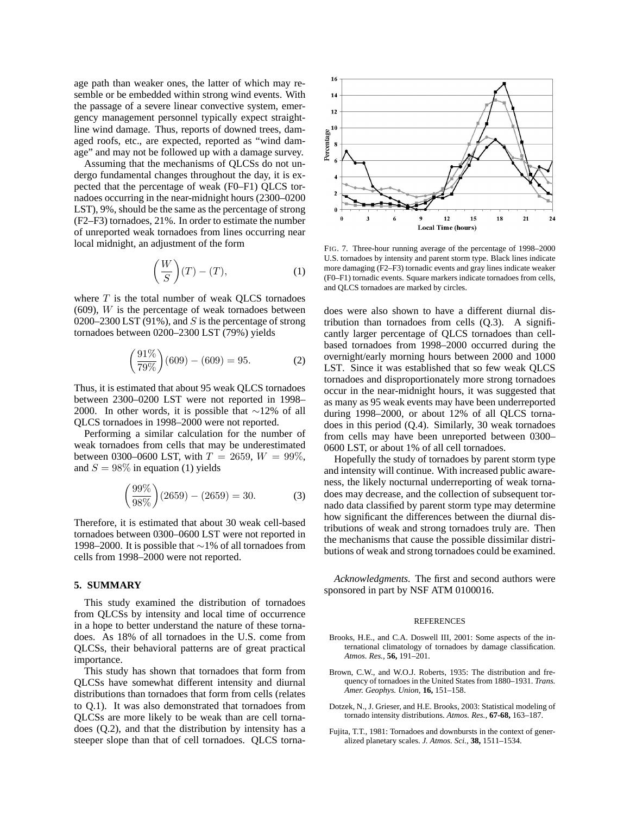age path than weaker ones, the latter of which may resemble or be embedded within strong wind events. With the passage of a severe linear convective system, emergency management personnel typically expect straightline wind damage. Thus, reports of downed trees, damaged roofs, etc., are expected, reported as "wind damage" and may not be followed up with a damage survey.

Assuming that the mechanisms of QLCSs do not undergo fundamental changes throughout the day, it is expected that the percentage of weak (F0–F1) QLCS tornadoes occurring in the near-midnight hours (2300–0200 LST), 9%, should be the same as the percentage of strong (F2–F3) tornadoes, 21%. In order to estimate the number of unreported weak tornadoes from lines occurring near local midnight, an adjustment of the form

$$
\left(\frac{W}{S}\right)(T) - (T),\tag{1}
$$

where  $T$  is the total number of weak OLCS tornadoes  $(609)$ , *W* is the percentage of weak tornadoes between 0200–2300 LST (91%), and  $S$  is the percentage of strong tornadoes between 0200–2300 LST (79%) yields

$$
\left(\frac{91\%}{79\%}\right)(609) - (609) = 95.
$$
 (2)

Thus, it is estimated that about 95 weak QLCS tornadoes between 2300–0200 LST were not reported in 1998– 2000. In other words, it is possible that ∼12% of all QLCS tornadoes in 1998–2000 were not reported.

Performing a similar calculation for the number of weak tornadoes from cells that may be underestimated between 0300–0600 LST, with  $T = 2659$ ,  $W = 99\%,$ and  $S = 98\%$  in equation (1) yields

$$
\left(\frac{99\%}{98\%}\right)(2659) - (2659) = 30.
$$
 (3)

Therefore, it is estimated that about 30 weak cell-based tornadoes between 0300–0600 LST were not reported in 1998–2000. It is possible that ∼1% of all tornadoes from cells from 1998–2000 were not reported.

## **5. SUMMARY**

This study examined the distribution of tornadoes from QLCSs by intensity and local time of occurrence in a hope to better understand the nature of these tornadoes. As 18% of all tornadoes in the U.S. come from QLCSs, their behavioral patterns are of great practical importance.

This study has shown that tornadoes that form from QLCSs have somewhat different intensity and diurnal distributions than tornadoes that form from cells (relates to Q.1). It was also demonstrated that tornadoes from QLCSs are more likely to be weak than are cell tornadoes (Q.2), and that the distribution by intensity has a steeper slope than that of cell tornadoes. QLCS torna-



FIG. 7. Three-hour running average of the percentage of 1998–2000 U.S. tornadoes by intensity and parent storm type. Black lines indicate more damaging (F2–F3) tornadic events and gray lines indicate weaker (F0–F1) tornadic events. Square markers indicate tornadoes from cells, and QLCS tornadoes are marked by circles.

does were also shown to have a different diurnal distribution than tornadoes from cells (Q.3). A significantly larger percentage of QLCS tornadoes than cellbased tornadoes from 1998–2000 occurred during the overnight/early morning hours between 2000 and 1000 LST. Since it was established that so few weak QLCS tornadoes and disproportionately more strong tornadoes occur in the near-midnight hours, it was suggested that as many as 95 weak events may have been underreported during 1998–2000, or about 12% of all QLCS tornadoes in this period (Q.4). Similarly, 30 weak tornadoes from cells may have been unreported between 0300– 0600 LST, or about 1% of all cell tornadoes.

Hopefully the study of tornadoes by parent storm type and intensity will continue. With increased public awareness, the likely nocturnal underreporting of weak tornadoes may decrease, and the collection of subsequent tornado data classified by parent storm type may determine how significant the differences between the diurnal distributions of weak and strong tornadoes truly are. Then the mechanisms that cause the possible dissimilar distributions of weak and strong tornadoes could be examined.

*Acknowledgments.* The first and second authors were sponsored in part by NSF ATM 0100016.

#### REFERENCES

- Brooks, H.E., and C.A. Doswell III, 2001: Some aspects of the international climatology of tornadoes by damage classification. *Atmos. Res.,* **56,** 191–201.
- Brown, C.W., and W.O.J. Roberts, 1935: The distribution and frequency of tornadoes in the United States from 1880–1931. *Trans. Amer. Geophys. Union,* **16,** 151–158.
- Dotzek, N., J. Grieser, and H.E. Brooks, 2003: Statistical modeling of tornado intensity distributions. *Atmos. Res.,* **67-68,** 163–187.
- Fujita, T.T., 1981: Tornadoes and downbursts in the context of generalized planetary scales. *J. Atmos. Sci.,* **38,** 1511–1534.